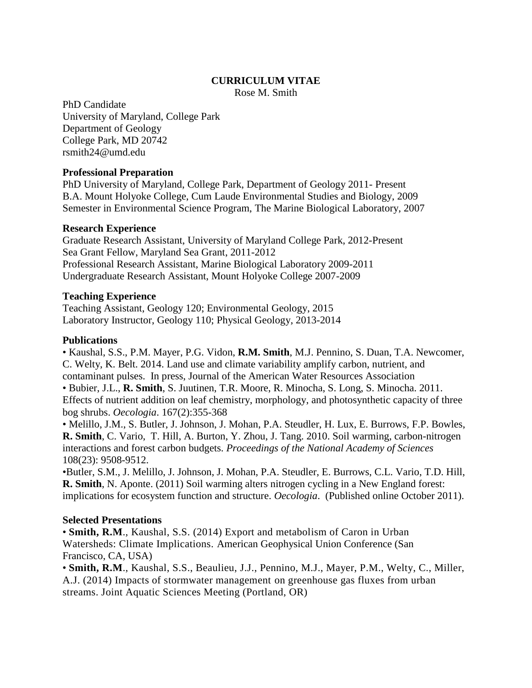#### **CURRICULUM VITAE**

Rose M. Smith

PhD Candidate University of Maryland, College Park Department of Geology College Park, MD 20742 rsmith24@umd.edu

#### **Professional Preparation**

PhD University of Maryland, College Park, Department of Geology 2011- Present B.A. Mount Holyoke College, Cum Laude Environmental Studies and Biology, 2009 Semester in Environmental Science Program, The Marine Biological Laboratory, 2007

#### **Research Experience**

Graduate Research Assistant, University of Maryland College Park, 2012-Present Sea Grant Fellow, Maryland Sea Grant, 2011-2012 Professional Research Assistant, Marine Biological Laboratory 2009-2011 Undergraduate Research Assistant, Mount Holyoke College 2007-2009

## **Teaching Experience**

Teaching Assistant, Geology 120; Environmental Geology, 2015 Laboratory Instructor, Geology 110; Physical Geology, 2013-2014

## **Publications**

• Kaushal, S.S., P.M. Mayer, P.G. Vidon, **R.M. Smith**, M.J. Pennino, S. Duan, T.A. Newcomer, C. Welty, K. Belt. 2014. Land use and climate variability amplify carbon, nutrient, and contaminant pulses. In press, Journal of the American Water Resources Association • Bubier, J.L., **R. Smith**, S. Juutinen, T.R. Moore, R. Minocha, S. Long, S. Minocha. 2011. Effects of nutrient addition on leaf chemistry, morphology, and photosynthetic capacity of three bog shrubs. *Oecologia*. 167(2):355-368

• Melillo, J.M., S. Butler, J. Johnson, J. Mohan, P.A. Steudler, H. Lux, E. Burrows, F.P. Bowles, **R. Smith**, C. Vario, T. Hill, A. Burton, Y. Zhou, J. Tang. 2010. Soil warming, carbon-nitrogen interactions and forest carbon budgets. *Proceedings of the National Academy of Sciences*  108(23): 9508-9512.

•Butler, S.M., J. Melillo, J. Johnson, J. Mohan, P.A. Steudler, E. Burrows, C.L. Vario, T.D. Hill, **R. Smith**, N. Aponte. (2011) Soil warming alters nitrogen cycling in a New England forest: implications for ecosystem function and structure. *Oecologia*. (Published online October 2011).

# **Selected Presentations**

• **Smith, R.M**., Kaushal, S.S. (2014) Export and metabolism of Caron in Urban Watersheds: Climate Implications. American Geophysical Union Conference (San Francisco, CA, USA)

• **Smith, R.M**., Kaushal, S.S., Beaulieu, J.J., Pennino, M.J., Mayer, P.M., Welty, C., Miller, A.J. (2014) Impacts of stormwater management on greenhouse gas fluxes from urban streams. Joint Aquatic Sciences Meeting (Portland, OR)